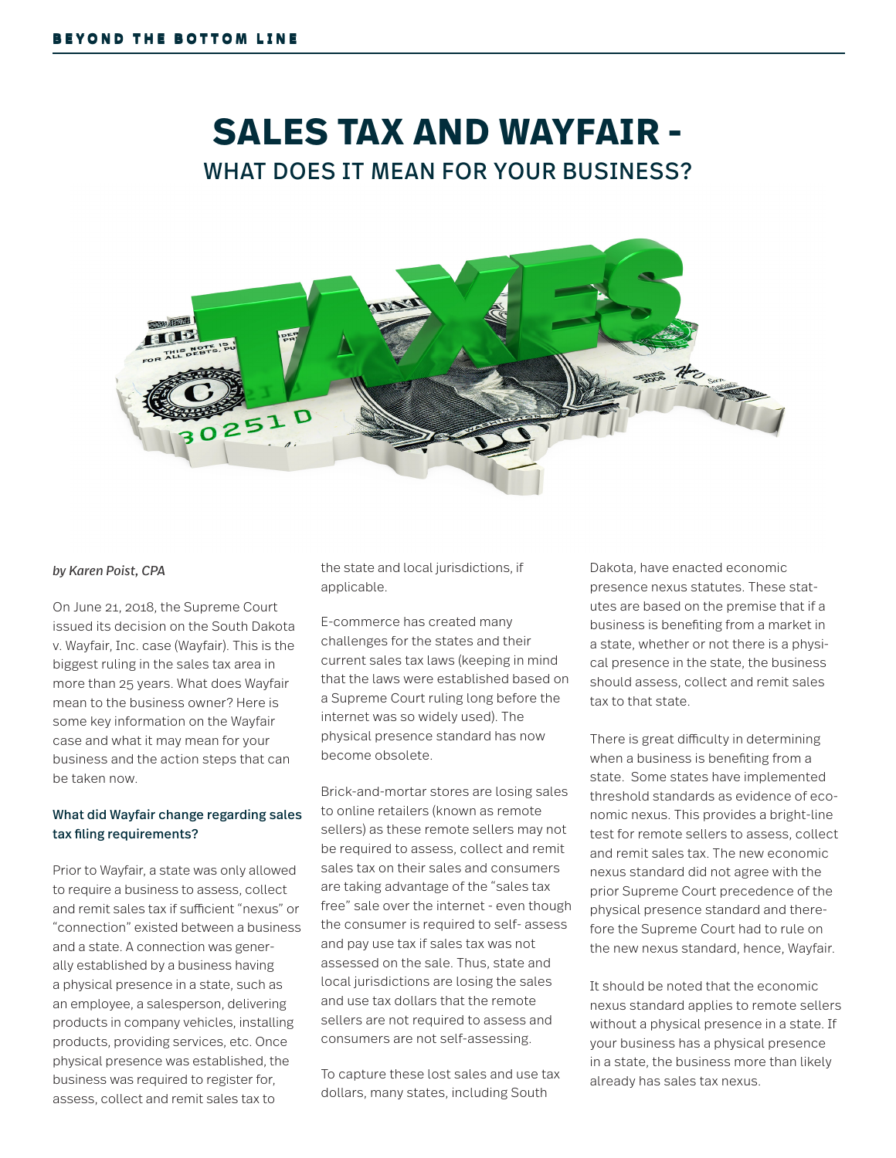# **SALES TAX AND WAYFAIR -** WHAT DOES IT MEAN FOR YOUR BUSINESS?



#### *by Karen Poist, CPA*

On June 21, 2018, the Supreme Court issued its decision on the South Dakota v. Wayfair, Inc. case (Wayfair). This is the biggest ruling in the sales tax area in more than 25 years. What does Wayfair mean to the business owner? Here is some key information on the Wayfair case and what it may mean for your business and the action steps that can be taken now.

#### What did Wayfair change regarding sales tax filing requirements?

Prior to Wayfair, a state was only allowed to require a business to assess, collect and remit sales tax if sufficient "nexus" or "connection" existed between a business and a state. A connection was generally established by a business having a physical presence in a state, such as an employee, a salesperson, delivering products in company vehicles, installing products, providing services, etc. Once physical presence was established, the business was required to register for, assess, collect and remit sales tax to

the state and local jurisdictions, if applicable.

E-commerce has created many challenges for the states and their current sales tax laws (keeping in mind that the laws were established based on a Supreme Court ruling long before the internet was so widely used). The physical presence standard has now become obsolete.

Brick-and-mortar stores are losing sales to online retailers (known as remote sellers) as these remote sellers may not be required to assess, collect and remit sales tax on their sales and consumers are taking advantage of the "sales tax free" sale over the internet - even though the consumer is required to self- assess and pay use tax if sales tax was not assessed on the sale. Thus, state and local jurisdictions are losing the sales and use tax dollars that the remote sellers are not required to assess and consumers are not self-assessing.

To capture these lost sales and use tax dollars, many states, including South

Dakota, have enacted economic presence nexus statutes. These statutes are based on the premise that if a business is benefiting from a market in a state, whether or not there is a physical presence in the state, the business should assess, collect and remit sales tax to that state.

There is great difficulty in determining when a business is benefiting from a state. Some states have implemented threshold standards as evidence of economic nexus. This provides a bright-line test for remote sellers to assess, collect and remit sales tax. The new economic nexus standard did not agree with the prior Supreme Court precedence of the physical presence standard and therefore the Supreme Court had to rule on the new nexus standard, hence, Wayfair.

It should be noted that the economic nexus standard applies to remote sellers without a physical presence in a state. If your business has a physical presence in a state, the business more than likely already has sales tax nexus.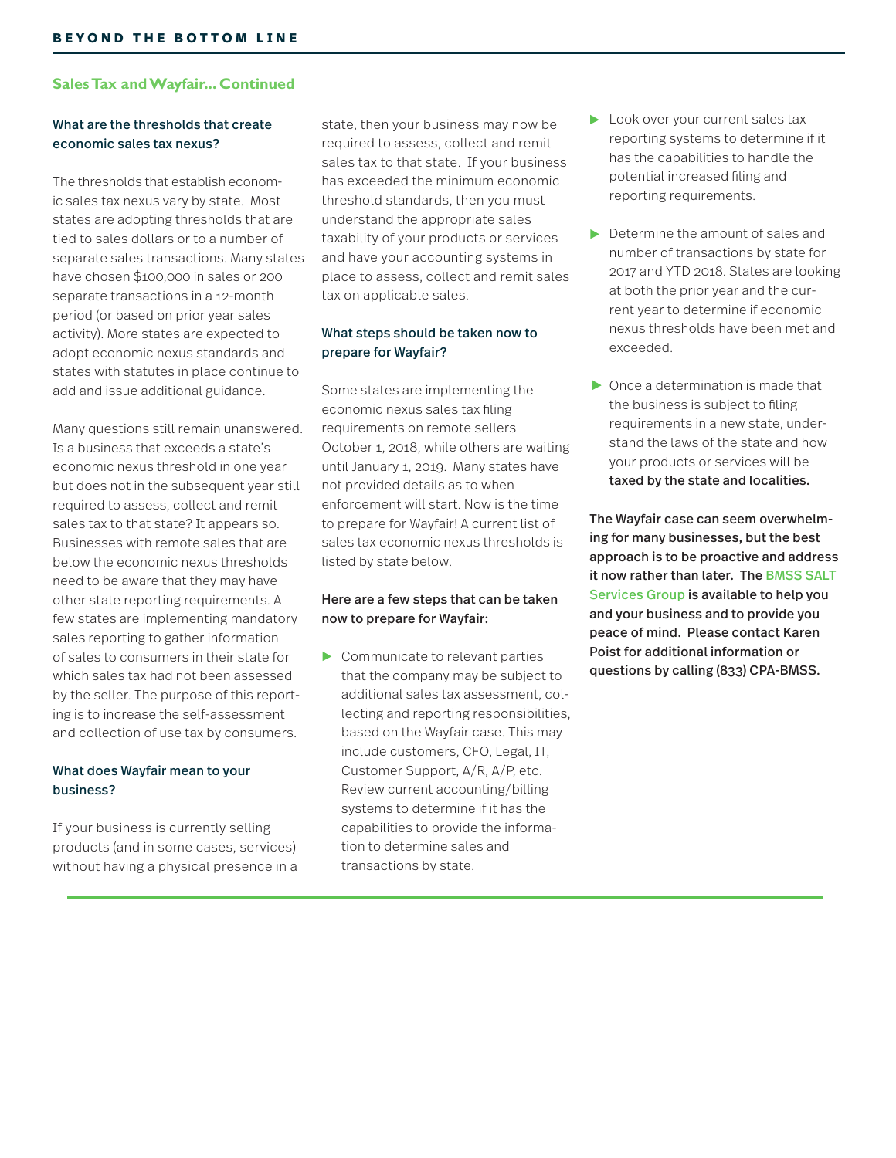#### **Sales Tax and Wayfair... Continued**

#### What are the thresholds that create economic sales tax nexus?

The thresholds that establish economic sales tax nexus vary by state. Most states are adopting thresholds that are tied to sales dollars or to a number of separate sales transactions. Many states have chosen \$100,000 in sales or 200 separate transactions in a 12-month period (or based on prior year sales activity). More states are expected to adopt economic nexus standards and states with statutes in place continue to add and issue additional guidance.

Many questions still remain unanswered. Is a business that exceeds a state's economic nexus threshold in one year but does not in the subsequent year still required to assess, collect and remit sales tax to that state? It appears so. Businesses with remote sales that are below the economic nexus thresholds need to be aware that they may have other state reporting requirements. A few states are implementing mandatory sales reporting to gather information of sales to consumers in their state for which sales tax had not been assessed by the seller. The purpose of this reporting is to increase the self-assessment and collection of use tax by consumers.

#### What does Wayfair mean to your business?

If your business is currently selling products (and in some cases, services) without having a physical presence in a state, then your business may now be required to assess, collect and remit sales tax to that state. If your business has exceeded the minimum economic threshold standards, then you must understand the appropriate sales taxability of your products or services and have your accounting systems in place to assess, collect and remit sales tax on applicable sales.

#### What steps should be taken now to prepare for Wayfair?

Some states are implementing the economic nexus sales tax filing requirements on remote sellers October 1, 2018, while others are waiting until January 1, 2019. Many states have not provided details as to when enforcement will start. Now is the time to prepare for Wayfair! A current list of sales tax economic nexus thresholds is listed by state below.

#### Here are a few steps that can be taken now to prepare for Wayfair:

Communicate to relevant parties that the company may be subject to additional sales tax assessment, collecting and reporting responsibilities, based on the Wayfair case. This may include customers, CFO, Legal, IT, Customer Support, A/R, A/P, etc. Review current accounting/billing systems to determine if it has the capabilities to provide the information to determine sales and transactions by state.

- Look over your current sales tax reporting systems to determine if it has the capabilities to handle the potential increased filing and reporting requirements.
- Determine the amount of sales and number of transactions by state for 2017 and YTD 2018. States are looking at both the prior year and the current year to determine if economic nexus thresholds have been met and exceeded.
- $\triangleright$  Once a determination is made that the business is subject to filing requirements in a new state, understand the laws of the state and how your products or services will be taxed by the state and localities.

The Wayfair case can seem overwhelming for many businesses, but the best approach is to be proactive and address it now rather than later. The BMSS SALT Services Group is available to help you and your business and to provide you peace of mind. Please contact Karen Poist for additional information or questions by calling (833) CPA-BMSS.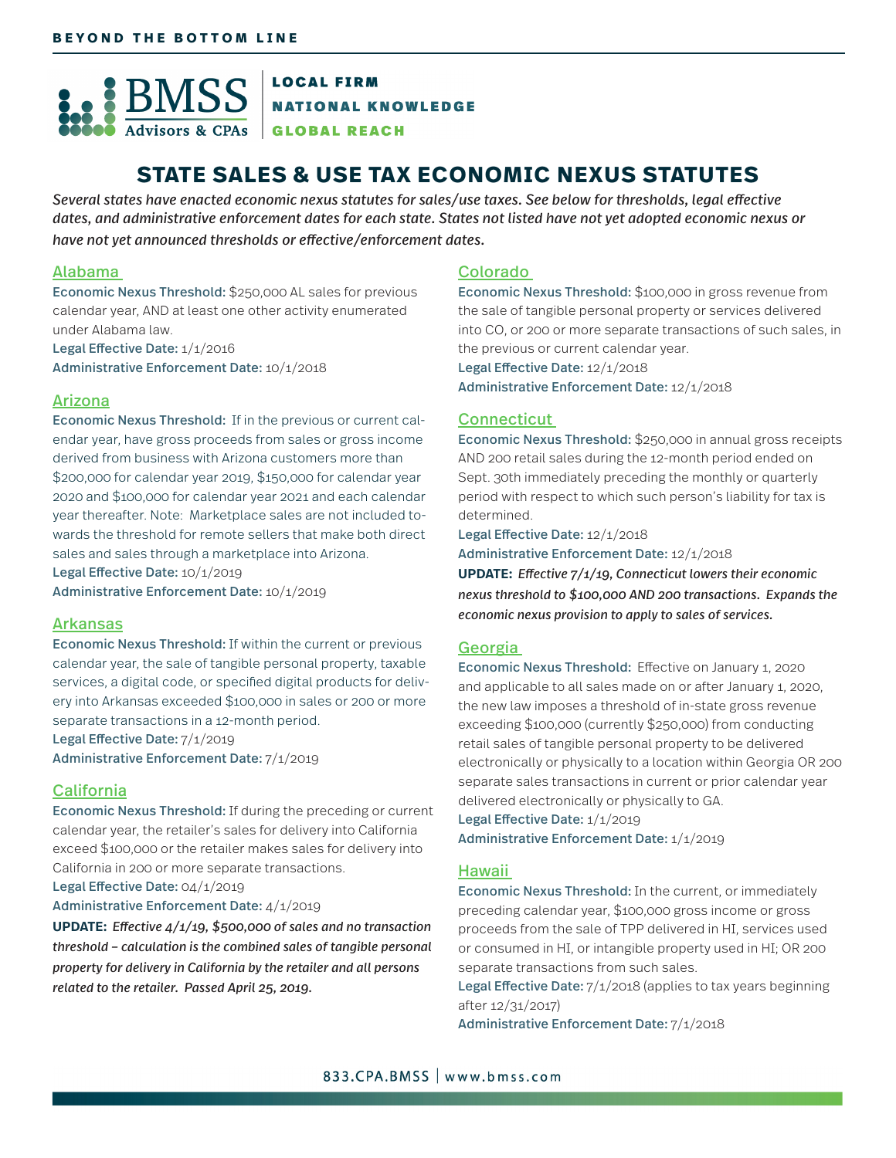

GLOBAL REACH

## **STATE SALES & USE TAX ECONOMIC NEXUS STATUTES**

*Several states have enacted economic nexus statutes for sales/use taxes. See below for thresholds, legal effective dates, and administrative enforcement dates for each state. States not listed have not yet adopted economic nexus or have not yet announced thresholds or effective/enforcement dates.*

#### Alabama

Economic Nexus Threshold: \$250,000 AL sales for previous calendar year, AND at least one other activity enumerated under Alabama law.

Legal Effective Date: 1/1/2016

Administrative Enforcement Date: 10/1/2018

#### Arizona

Economic Nexus Threshold: If in the previous or current calendar year, have gross proceeds from sales or gross income derived from business with Arizona customers more than \$200,000 for calendar year 2019, \$150,000 for calendar year 2020 and \$100,000 for calendar year 2021 and each calendar year thereafter. Note: Marketplace sales are not included towards the threshold for remote sellers that make both direct sales and sales through a marketplace into Arizona. Legal Effective Date: 10/1/2019

Administrative Enforcement Date: 10/1/2019

#### Arkansas

Economic Nexus Threshold: If within the current or previous calendar year, the sale of tangible personal property, taxable services, a digital code, or specified digital products for delivery into Arkansas exceeded \$100,000 in sales or 200 or more separate transactions in a 12-month period. Legal Effective Date: 7/1/2019

Administrative Enforcement Date: 7/1/2019

#### **California**

Economic Nexus Threshold: If during the preceding or current calendar year, the retailer's sales for delivery into California exceed \$100,000 or the retailer makes sales for delivery into California in 200 or more separate transactions.

Legal Effective Date: 04/1/2019

#### Administrative Enforcement Date: 4/1/2019

**UPDATE:** *Effective 4/1/19, \$500,000 of sales and no transaction threshold – calculation is the combined sales of tangible personal property for delivery in California by the retailer and all persons related to the retailer. Passed April 25, 2019.*

#### Colorado

Economic Nexus Threshold: \$100,000 in gross revenue from the sale of tangible personal property or services delivered into CO, or 200 or more separate transactions of such sales, in the previous or current calendar year.

Legal Effective Date: 12/1/2018

Administrative Enforcement Date: 12/1/2018

#### **Connecticut**

Economic Nexus Threshold: \$250,000 in annual gross receipts AND 200 retail sales during the 12-month period ended on Sept. 30th immediately preceding the monthly or quarterly period with respect to which such person's liability for tax is determined.

Legal Effective Date: 12/1/2018

Administrative Enforcement Date: 12/1/2018

**UPDATE:** *Effective 7/1/19, Connecticut lowers their economic nexus threshold to \$100,000 AND 200 transactions. Expands the economic nexus provision to apply to sales of services.*

#### Georgia

Economic Nexus Threshold: Effective on January 1, 2020 and applicable to all sales made on or after January 1, 2020, the new law imposes a threshold of in-state gross revenue exceeding \$100,000 (currently \$250,000) from conducting retail sales of tangible personal property to be delivered electronically or physically to a location within Georgia OR 200 separate sales transactions in current or prior calendar year delivered electronically or physically to GA.

Legal Effective Date: 1/1/2019 Administrative Enforcement Date: 1/1/2019

#### Hawaii

Economic Nexus Threshold: In the current, or immediately preceding calendar year, \$100,000 gross income or gross proceeds from the sale of TPP delivered in HI, services used or consumed in HI, or intangible property used in HI; OR 200 separate transactions from such sales.

Legal Effective Date: 7/1/2018 (applies to tax years beginning after 12/31/2017)

Administrative Enforcement Date: 7/1/2018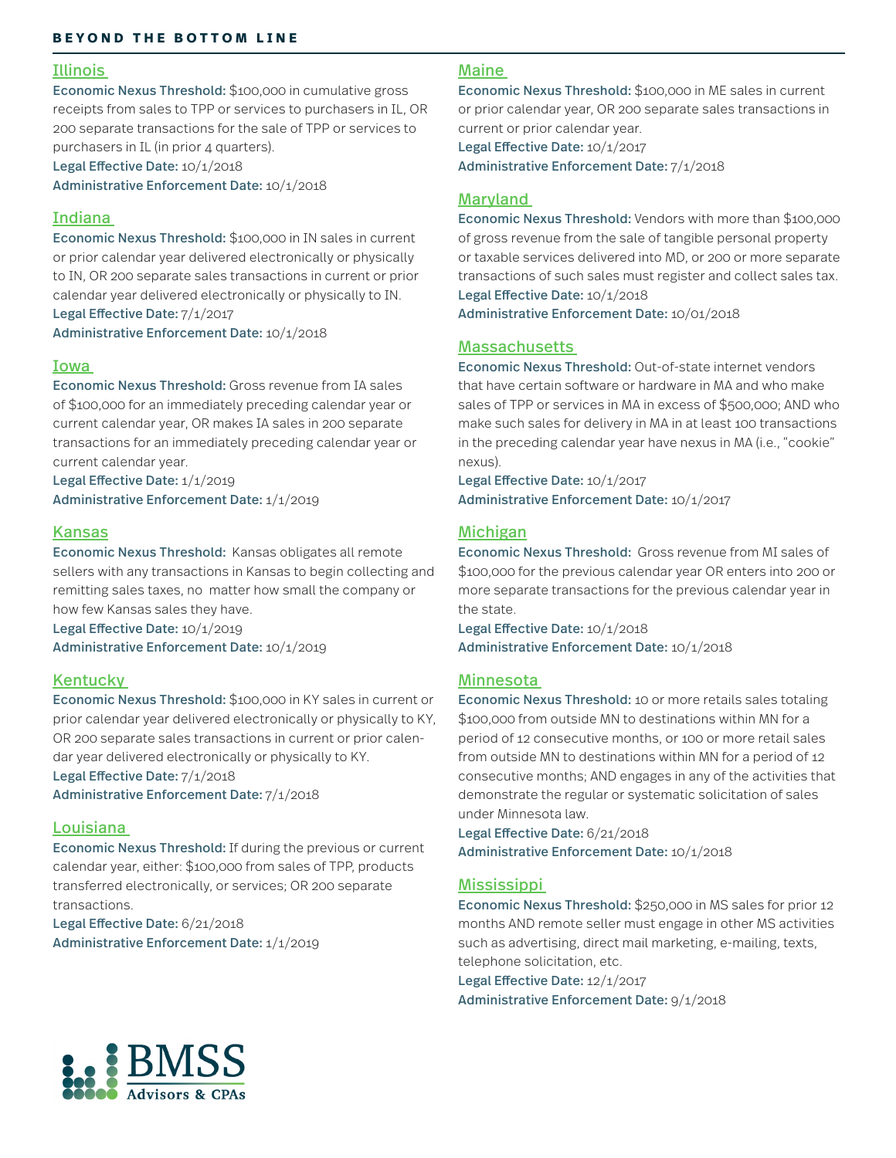#### Illinois

Economic Nexus Threshold: \$100,000 in cumulative gross receipts from sales to TPP or services to purchasers in IL, OR 200 separate transactions for the sale of TPP or services to purchasers in IL (in prior 4 quarters).

Legal Effective Date: 10/1/2018 Administrative Enforcement Date: 10/1/2018

#### Indiana

Economic Nexus Threshold: \$100,000 in IN sales in current or prior calendar year delivered electronically or physically to IN, OR 200 separate sales transactions in current or prior calendar year delivered electronically or physically to IN. Legal Effective Date: 7/1/2017

Administrative Enforcement Date: 10/1/2018

#### Iowa

Economic Nexus Threshold: Gross revenue from IA sales of \$100,000 for an immediately preceding calendar year or current calendar year, OR makes IA sales in 200 separate transactions for an immediately preceding calendar year or current calendar year.

Legal Effective Date: 1/1/2019 Administrative Enforcement Date: 1/1/2019

#### Kansas

Economic Nexus Threshold: Kansas obligates all remote sellers with any transactions in Kansas to begin collecting and remitting sales taxes, no matter how small the company or how few Kansas sales they have.

Legal Effective Date: 10/1/2019 Administrative Enforcement Date: 10/1/2019

#### Kentucky

Economic Nexus Threshold: \$100,000 in KY sales in current or prior calendar year delivered electronically or physically to KY, OR 200 separate sales transactions in current or prior calendar year delivered electronically or physically to KY. Legal Effective Date: 7/1/2018 Administrative Enforcement Date: 7/1/2018

#### **Louisiana**

Economic Nexus Threshold: If during the previous or current calendar year, either: \$100,000 from sales of TPP, products transferred electronically, or services; OR 200 separate transactions.

Legal Effective Date: 6/21/2018 Administrative Enforcement Date: 1/1/2019

#### Maine

Economic Nexus Threshold: \$100,000 in ME sales in current or prior calendar year, OR 200 separate sales transactions in current or prior calendar year.

Legal Effective Date: 10/1/2017 Administrative Enforcement Date: 7/1/2018

#### Maryland

Economic Nexus Threshold: Vendors with more than \$100,000 of gross revenue from the sale of tangible personal property or taxable services delivered into MD, or 200 or more separate transactions of such sales must register and collect sales tax. Legal Effective Date: 10/1/2018

Administrative Enforcement Date: 10/01/2018

#### **Massachusetts**

Economic Nexus Threshold: Out-of-state internet vendors that have certain software or hardware in MA and who make sales of TPP or services in MA in excess of \$500,000; AND who make such sales for delivery in MA in at least 100 transactions in the preceding calendar year have nexus in MA (i.e., "cookie" nexus).

Legal Effective Date: 10/1/2017 Administrative Enforcement Date: 10/1/2017

#### Michigan

Economic Nexus Threshold: Gross revenue from MI sales of \$100,000 for the previous calendar year OR enters into 200 or more separate transactions for the previous calendar year in the state.

Legal Effective Date: 10/1/2018 Administrative Enforcement Date: 10/1/2018

#### Minnesota

Economic Nexus Threshold: 10 or more retails sales totaling \$100,000 from outside MN to destinations within MN for a period of 12 consecutive months, or 100 or more retail sales from outside MN to destinations within MN for a period of 12 consecutive months; AND engages in any of the activities that demonstrate the regular or systematic solicitation of sales under Minnesota law.

Legal Effective Date: 6/21/2018 Administrative Enforcement Date: 10/1/2018

#### **Mississippi**

Economic Nexus Threshold: \$250,000 in MS sales for prior 12 months AND remote seller must engage in other MS activities such as advertising, direct mail marketing, e-mailing, texts, telephone solicitation, etc.

Legal Effective Date: 12/1/2017 Administrative Enforcement Date: 9/1/2018

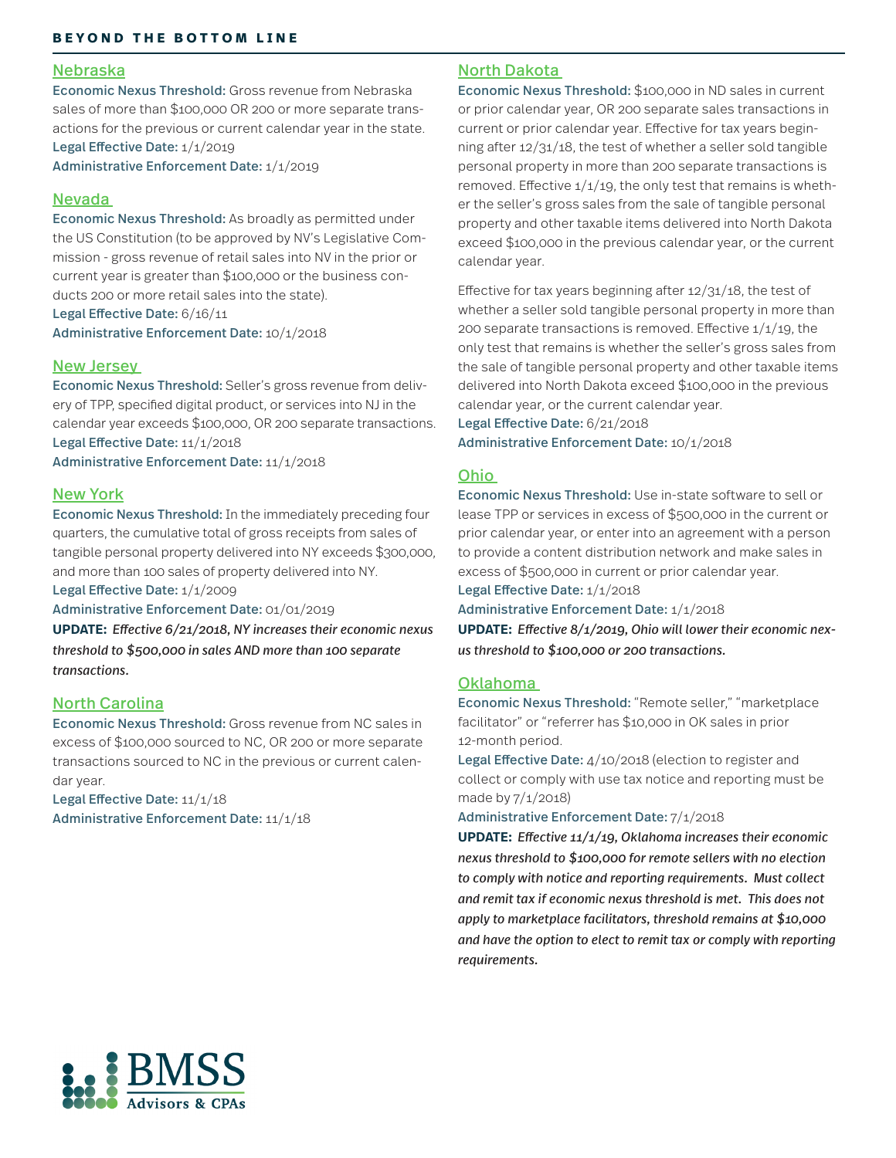#### Nebraska

Economic Nexus Threshold: Gross revenue from Nebraska sales of more than \$100,000 OR 200 or more separate transactions for the previous or current calendar year in the state. Legal Effective Date: 1/1/2019

Administrative Enforcement Date: 1/1/2019

#### Nevada

Economic Nexus Threshold: As broadly as permitted under the US Constitution (to be approved by NV's Legislative Commission - gross revenue of retail sales into NV in the prior or current year is greater than \$100,000 or the business conducts 200 or more retail sales into the state). Legal Effective Date: 6/16/11

Administrative Enforcement Date: 10/1/2018

#### New Jersey

Economic Nexus Threshold: Seller's gross revenue from delivery of TPP, specified digital product, or services into NJ in the calendar year exceeds \$100,000, OR 200 separate transactions. Legal Effective Date: 11/1/2018 Administrative Enforcement Date: 11/1/2018

#### New York

Economic Nexus Threshold: In the immediately preceding four quarters, the cumulative total of gross receipts from sales of tangible personal property delivered into NY exceeds \$300,000, and more than 100 sales of property delivered into NY.

Legal Effective Date: 1/1/2009

Administrative Enforcement Date: 01/01/2019

**UPDATE:** *Effective 6/21/2018, NY increases their economic nexus threshold to \$500,000 in sales AND more than 100 separate transactions.*

#### North Carolina

Economic Nexus Threshold: Gross revenue from NC sales in excess of \$100,000 sourced to NC, OR 200 or more separate transactions sourced to NC in the previous or current calendar year.

Legal Effective Date:  $11/1/18$ Administrative Enforcement Date: 11/1/18

#### North Dakota

Economic Nexus Threshold: \$100,000 in ND sales in current or prior calendar year, OR 200 separate sales transactions in current or prior calendar year. Effective for tax years beginning after 12/31/18, the test of whether a seller sold tangible personal property in more than 200 separate transactions is removed. Effective  $1/1/19$ , the only test that remains is whether the seller's gross sales from the sale of tangible personal property and other taxable items delivered into North Dakota exceed \$100,000 in the previous calendar year, or the current calendar year.

Effective for tax years beginning after 12/31/18, the test of whether a seller sold tangible personal property in more than 200 separate transactions is removed. Effective  $1/1/19$ , the only test that remains is whether the seller's gross sales from the sale of tangible personal property and other taxable items delivered into North Dakota exceed \$100,000 in the previous calendar year, or the current calendar year.

Legal Effective Date: 6/21/2018 Administrative Enforcement Date: 10/1/2018

#### Ohio

Economic Nexus Threshold: Use in-state software to sell or lease TPP or services in excess of \$500,000 in the current or prior calendar year, or enter into an agreement with a person to provide a content distribution network and make sales in excess of \$500,000 in current or prior calendar year.

Legal Effective Date: 1/1/2018

Administrative Enforcement Date: 1/1/2018

**UPDATE:** *Effective 8/1/2019, Ohio will lower their economic nexus threshold to \$100,000 or 200 transactions.*

#### Oklahoma

Economic Nexus Threshold: "Remote seller," "marketplace facilitator" or "referrer has \$10,000 in OK sales in prior 12-month period.

Legal Effective Date: 4/10/2018 (election to register and collect or comply with use tax notice and reporting must be made by 7/1/2018)

Administrative Enforcement Date: 7/1/2018

**UPDATE:** *Effective 11/1/19, Oklahoma increases their economic nexus threshold to \$100,000 for remote sellers with no election to comply with notice and reporting requirements. Must collect and remit tax if economic nexus threshold is met. This does not apply to marketplace facilitators, threshold remains at \$10,000 and have the option to elect to remit tax or comply with reporting requirements.*

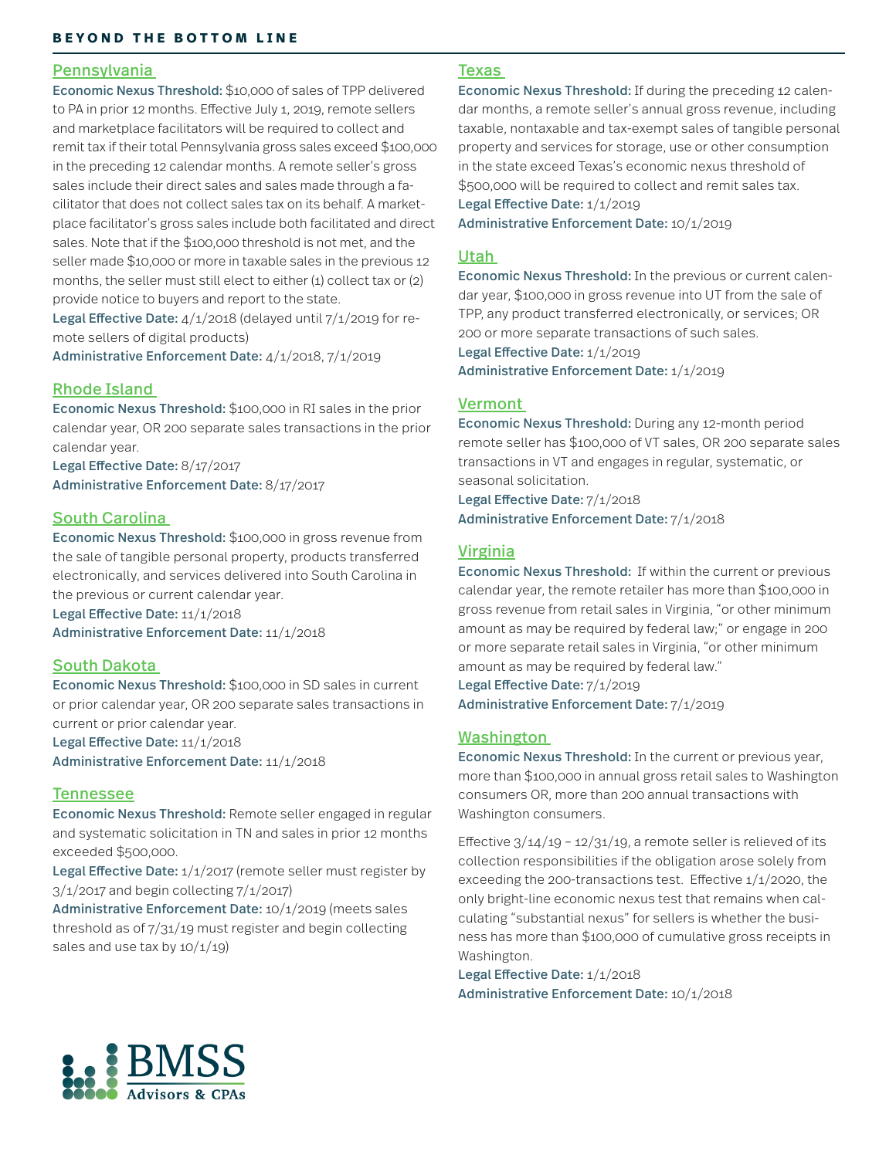#### Pennsylvania

Economic Nexus Threshold: \$10,000 of sales of TPP delivered to PA in prior 12 months. Effective July 1, 2019, remote sellers and marketplace facilitators will be required to collect and remit tax if their total Pennsylvania gross sales exceed \$100,000 in the preceding 12 calendar months. A remote seller's gross sales include their direct sales and sales made through a facilitator that does not collect sales tax on its behalf. A marketplace facilitator's gross sales include both facilitated and direct sales. Note that if the \$100,000 threshold is not met, and the seller made \$10,000 or more in taxable sales in the previous 12 months, the seller must still elect to either  $(i)$  collect tax or  $(2)$ provide notice to buyers and report to the state.

Legal Effective Date: 4/1/2018 (delayed until 7/1/2019 for remote sellers of digital products)

Administrative Enforcement Date: 4/1/2018, 7/1/2019

#### Rhode Island

Economic Nexus Threshold: \$100,000 in RI sales in the prior calendar year, OR 200 separate sales transactions in the prior calendar year.

Legal Effective Date: 8/17/2017 Administrative Enforcement Date: 8/17/2017

### South Carolina

Economic Nexus Threshold: \$100,000 in gross revenue from the sale of tangible personal property, products transferred electronically, and services delivered into South Carolina in the previous or current calendar year.

Legal Effective Date: 11/1/2018 Administrative Enforcement Date: 11/1/2018

#### South Dakota

Economic Nexus Threshold: \$100,000 in SD sales in current or prior calendar year, OR 200 separate sales transactions in current or prior calendar year.

Legal Effective Date: 11/1/2018

Administrative Enforcement Date: 11/1/2018

#### **Tennessee**

Economic Nexus Threshold: Remote seller engaged in regular and systematic solicitation in TN and sales in prior 12 months exceeded \$500,000.

Legal Effective Date:  $1/1/2017$  (remote seller must register by  $3/1/2017$  and begin collecting  $7/1/2017$ 

Administrative Enforcement Date: 10/1/2019 (meets sales threshold as of 7/31/19 must register and begin collecting sales and use tax by  $10/1/19$ 

#### **Texas**

Economic Nexus Threshold: If during the preceding 12 calendar months, a remote seller's annual gross revenue, including taxable, nontaxable and tax-exempt sales of tangible personal property and services for storage, use or other consumption in the state exceed Texas's economic nexus threshold of \$500,000 will be required to collect and remit sales tax.

Legal Effective Date: 1/1/2019

Administrative Enforcement Date: 10/1/2019

#### Utah

Economic Nexus Threshold: In the previous or current calendar year, \$100,000 in gross revenue into UT from the sale of TPP, any product transferred electronically, or services; OR 200 or more separate transactions of such sales. Legal Effective Date: 1/1/2019 Administrative Enforcement Date: 1/1/2019

#### Vermont

Economic Nexus Threshold: During any 12-month period remote seller has \$100,000 of VT sales, OR 200 separate sales transactions in VT and engages in regular, systematic, or seasonal solicitation.

Legal Effective Date: 7/1/2018 Administrative Enforcement Date: 7/1/2018

#### Virginia

Economic Nexus Threshold: If within the current or previous calendar year, the remote retailer has more than \$100,000 in gross revenue from retail sales in Virginia, "or other minimum amount as may be required by federal law;" or engage in 200 or more separate retail sales in Virginia, "or other minimum amount as may be required by federal law."

Legal Effective Date: 7/1/2019 Administrative Enforcement Date: 7/1/2019

#### Washington

Economic Nexus Threshold: In the current or previous year, more than \$100,000 in annual gross retail sales to Washington consumers OR, more than 200 annual transactions with Washington consumers.

Effective  $3/14/19 - 12/31/19$ , a remote seller is relieved of its collection responsibilities if the obligation arose solely from exceeding the 200-transactions test. Effective 1/1/2020, the only bright-line economic nexus test that remains when calculating "substantial nexus" for sellers is whether the business has more than \$100,000 of cumulative gross receipts in Washington.

Legal Effective Date: 1/1/2018 Administrative Enforcement Date: 10/1/2018